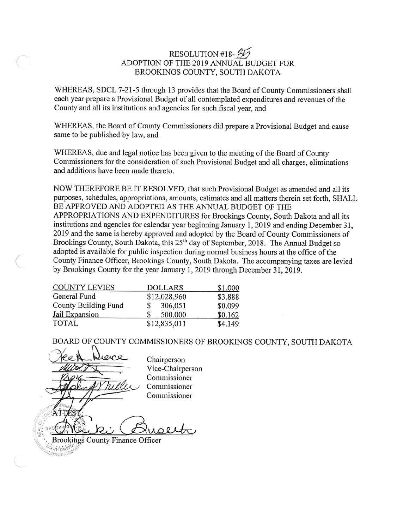# RESOLUTION #18-25 ADOPTION OF THE 2019 ANNUAL BUDGET FOR BROOKINGS COUNTY, SOUTH DAKOTA

WHEREAS, SDCL 7-21-5 through 13 provides that the Board of County Commissioners shall each year prepare a Provisional Budget of all contemplated expenditures and revenues of the County and all its institutions and agencies for such fiscal year, and

WHEREAS, the Board of County Commissioners did prepare a Provisional Budget and cause same to be published by law, and

WHEREAS, due and legal notice has been given to the meeting of the Board of County Commissioners for the consideration of such Provisional Budget and all charges, eliminations and additions have been made thereto.

NOW THEREFORE BE IT RESOLVED, that such Provisional Budget as amended and all its purposes, schedules, appropriations, amounts, estimates and all matters therein set forth, SHALL BE APPROVED AND ADOPTED AS THE ANNUAL BUDGET OF THE APPROPRIATIONS AND EXPENDITURES for Brookings County, South Dakota and all its institutions and agencies for calendar year beginning January 1, 2019 and ending December 31, 2019 and the same is hereby approved and adopted by the Board of County Commissioners of Brookings County, South Dakota, this 25<sup>th</sup> day of September, 2018. The Annual Budget so adopted is available for public inspection during normal business hours at the office of the County Finance Officer, Brookings County, South Dakota. The accompanying taxes are levied by Brookings County for the year January 1, 2019 through December 31, 2019.

| <b>COUNTY LEVIES</b> | <b>DOLLARS</b> | \$1,000 |
|----------------------|----------------|---------|
| General Fund         | \$12,028,960   | \$3.888 |
| County Building Fund | 306,051<br>S.  | \$0.099 |
| Jail Expansion       | 500,000<br>S.  | \$0.162 |
| <b>TOTAL</b>         | \$12,835,011   | \$4.149 |

BOARD OF COUNTY COMMISSIONERS OF BROOKINGS COUNTY, SOUTH DAKOTA

evre Chairperson Vice-Chairperson Commissioner Commissioner Commissioner UDOL

Brookings County Finance Officer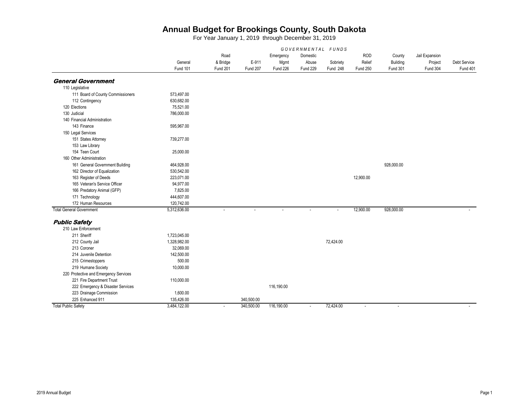|                                       |              |              |                |            | GOVERNMENTAL FUNDS       |           |                 |                 |                |              |
|---------------------------------------|--------------|--------------|----------------|------------|--------------------------|-----------|-----------------|-----------------|----------------|--------------|
|                                       |              | Road         |                | Emergency  | Domestic                 |           | <b>ROD</b>      | County          | Jail Expansion |              |
|                                       | General      | & Bridge     | E-911          | Mgmt       | Abuse                    | Sobriety  | Relief          | Building        | Project        | Debt Service |
|                                       | Fund 101     | Fund 201     | Fund 207       | Fund 226   | Fund 229                 | Fund 248  | <b>Fund 250</b> | <b>Fund 301</b> | Fund 304       | Fund 401     |
| <b>General Government</b>             |              |              |                |            |                          |           |                 |                 |                |              |
| 110 Legislative                       |              |              |                |            |                          |           |                 |                 |                |              |
| 111 Board of County Commissioners     | 573,497.00   |              |                |            |                          |           |                 |                 |                |              |
| 112 Contingency                       | 630,682.00   |              |                |            |                          |           |                 |                 |                |              |
| 120 Elections                         | 75,521.00    |              |                |            |                          |           |                 |                 |                |              |
| 130 Judicial                          | 786,000.00   |              |                |            |                          |           |                 |                 |                |              |
| 140 Financial Administration          |              |              |                |            |                          |           |                 |                 |                |              |
| 143 Finance                           | 595,967.00   |              |                |            |                          |           |                 |                 |                |              |
| 150 Legal Services                    |              |              |                |            |                          |           |                 |                 |                |              |
| 151 States Attorney                   | 739.277.00   |              |                |            |                          |           |                 |                 |                |              |
| 153 Law Library                       |              |              |                |            |                          |           |                 |                 |                |              |
| 154 Teen Court                        | 25,000.00    |              |                |            |                          |           |                 |                 |                |              |
| 160 Other Administration              |              |              |                |            |                          |           |                 |                 |                |              |
| 161 General Government Building       | 464,928.00   |              |                |            |                          |           |                 | 928,000.00      |                |              |
| 162 Director of Equalization          | 530,542.00   |              |                |            |                          |           |                 |                 |                |              |
| 163 Register of Deeds                 | 223,071.00   |              |                |            |                          |           | 12,900.00       |                 |                |              |
| 165 Veteran's Service Officer         | 94,977.00    |              |                |            |                          |           |                 |                 |                |              |
| 166 Predatory Animal (GFP)            | 7,825.00     |              |                |            |                          |           |                 |                 |                |              |
| 171 Technology                        | 444,607.00   |              |                |            |                          |           |                 |                 |                |              |
| 172 Human Resources                   | 120,742.00   |              |                |            |                          |           |                 |                 |                |              |
| <b>Total General Government</b>       | 5,312,636.00 | $\mathbf{r}$ | $\overline{a}$ | $\sim$     | $\overline{\phantom{a}}$ | $\sim$    | 12,900.00       | 928,000.00      |                |              |
| <b>Public Safety</b>                  |              |              |                |            |                          |           |                 |                 |                |              |
| 210 Law Enforcement                   |              |              |                |            |                          |           |                 |                 |                |              |
| 211 Sheriff                           | 1,723,045.00 |              |                |            |                          |           |                 |                 |                |              |
| 212 County Jail                       | 1,328,982.00 |              |                |            |                          | 72,424.00 |                 |                 |                |              |
| 213 Coroner                           | 32,069.00    |              |                |            |                          |           |                 |                 |                |              |
| 214 Juvenile Detention                | 142,500.00   |              |                |            |                          |           |                 |                 |                |              |
| 215 Crimestoppers                     | 500.00       |              |                |            |                          |           |                 |                 |                |              |
| 219 Humane Society                    | 10,000.00    |              |                |            |                          |           |                 |                 |                |              |
| 220 Protective and Emergency Services |              |              |                |            |                          |           |                 |                 |                |              |
| 221 Fire Department Trust             | 110,000.00   |              |                |            |                          |           |                 |                 |                |              |
| 222 Emergency & Disaster Services     |              |              |                | 116,190.00 |                          |           |                 |                 |                |              |
| 223 Drainage Commission               | 1,600.00     |              |                |            |                          |           |                 |                 |                |              |
| 225 Enhanced 911                      | 135,426.00   |              | 340,500.00     |            |                          |           |                 |                 |                |              |
| <b>Total Public Safety</b>            | 3,484,122.00 | $\sim$       | 340,500.00     | 116,190.00 | $\sim$                   | 72,424.00 | $\sim$          | $\sim$          |                | $\sim$       |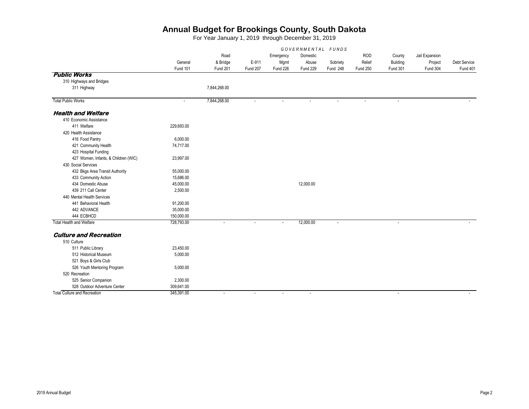|                                      | GOVERNMENTAL FUNDS |                          |                          |                          |                |                          |                 |                          |                |              |
|--------------------------------------|--------------------|--------------------------|--------------------------|--------------------------|----------------|--------------------------|-----------------|--------------------------|----------------|--------------|
|                                      |                    | Road                     |                          | Emergency                | Domestic       |                          | <b>ROD</b>      | County                   | Jail Expansion |              |
|                                      | General            | & Bridge                 | E-911                    | Mgmt                     | Abuse          | Sobriety                 | Relief          | Building                 | Project        | Debt Service |
|                                      | Fund 101           | Fund 201                 | Fund 207                 | <b>Fund 226</b>          | Fund 229       | Fund 248                 | <b>Fund 250</b> | <b>Fund 301</b>          | Fund 304       | Fund 401     |
| <b>Public Works</b>                  |                    |                          |                          |                          |                |                          |                 |                          |                |              |
| 310 Highways and Bridges             |                    |                          |                          |                          |                |                          |                 |                          |                |              |
| 311 Highway                          |                    | 7,844,268.00             |                          |                          |                |                          |                 |                          |                |              |
| <b>Total Public Works</b>            | $\blacksquare$     | 7,844,268.00             | $\tilde{\phantom{a}}$    | $\blacksquare$           | $\overline{a}$ | $\overline{\phantom{a}}$ |                 | $\overline{\phantom{a}}$ |                |              |
| <b>Health and Welfare</b>            |                    |                          |                          |                          |                |                          |                 |                          |                |              |
| 410 Economic Assistance              |                    |                          |                          |                          |                |                          |                 |                          |                |              |
| 411 Welfare                          | 229,693.00         |                          |                          |                          |                |                          |                 |                          |                |              |
| 420 Health Assistance                |                    |                          |                          |                          |                |                          |                 |                          |                |              |
| 416 Food Pantry                      | 6,000.00           |                          |                          |                          |                |                          |                 |                          |                |              |
| 421 Community Health                 | 74,717.00          |                          |                          |                          |                |                          |                 |                          |                |              |
| 423 Hospital Funding                 |                    |                          |                          |                          |                |                          |                 |                          |                |              |
| 427 Women, Infants, & Children (WIC) | 23,997.00          |                          |                          |                          |                |                          |                 |                          |                |              |
| 430 Social Services                  |                    |                          |                          |                          |                |                          |                 |                          |                |              |
| 432 Bkgs Area Transit Authority      | 55,000.00          |                          |                          |                          |                |                          |                 |                          |                |              |
| 433 Community Action                 | 15,686.00          |                          |                          |                          |                |                          |                 |                          |                |              |
| 434 Domestic Abuse                   | 45,000.00          |                          |                          |                          | 12,000.00      |                          |                 |                          |                |              |
| 439 211 Call Center                  | 2,500.00           |                          |                          |                          |                |                          |                 |                          |                |              |
| 440 Mental Health Services           |                    |                          |                          |                          |                |                          |                 |                          |                |              |
| 441 Behavioral Health                | 91,200.00          |                          |                          |                          |                |                          |                 |                          |                |              |
| 442 ADVANCE                          | 35,000.00          |                          |                          |                          |                |                          |                 |                          |                |              |
| 444 ECBHCD                           | 150,000.00         |                          |                          |                          |                |                          |                 |                          |                |              |
| <b>Total Health and Welfare</b>      | 728,793.00         | $\sim$                   | ÷.                       | $\sim$                   | 12,000.00      | $\sim$                   |                 | ×.                       |                |              |
| <b>Culture and Recreation</b>        |                    |                          |                          |                          |                |                          |                 |                          |                |              |
| 510 Culture                          |                    |                          |                          |                          |                |                          |                 |                          |                |              |
| 511 Public Library                   | 23,450.00          |                          |                          |                          |                |                          |                 |                          |                |              |
| 512 Historical Museum                | 5,000.00           |                          |                          |                          |                |                          |                 |                          |                |              |
| 521 Boys & Girls Club                |                    |                          |                          |                          |                |                          |                 |                          |                |              |
| 526 Youth Mentoring Program          | 5,000.00           |                          |                          |                          |                |                          |                 |                          |                |              |
| 520 Recreation                       |                    |                          |                          |                          |                |                          |                 |                          |                |              |
| 525 Senior Companion                 | 2,300.00           |                          |                          |                          |                |                          |                 |                          |                |              |
| 528 Outdoor Adventure Center         | 309,641.00         |                          |                          |                          |                |                          |                 |                          |                |              |
| <b>Total Culture and Recreation</b>  | 345,391.00         | $\overline{\phantom{a}}$ | $\overline{\phantom{a}}$ | $\overline{\phantom{a}}$ | $\overline{a}$ |                          |                 | $\sim$                   |                |              |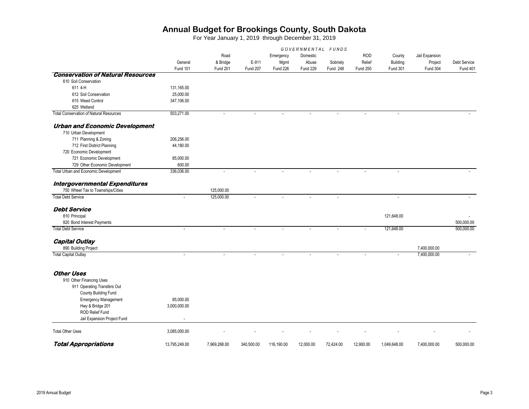|                                                |                          |                |            |                |                | GOVERNMENTAL FUNDS |                 |                 |              |              |
|------------------------------------------------|--------------------------|----------------|------------|----------------|----------------|--------------------|-----------------|-----------------|--------------|--------------|
|                                                | Road                     |                | Emergency  | Domestic       |                | <b>ROD</b>         | County          | Jail Expansion  |              |              |
|                                                | General                  | & Bridge       | E-911      | Mgmt           | Abuse          | Sobriety           | Relief          | <b>Building</b> | Project      | Debt Service |
|                                                | Fund 101                 | Fund 201       | Fund 207   | Fund 226       | Fund 229       | Fund 248           | <b>Fund 250</b> | <b>Fund 301</b> | Fund 304     | Fund 401     |
| <b>Conservation of Natural Resources</b>       |                          |                |            |                |                |                    |                 |                 |              |              |
| 610 Soil Conservation                          |                          |                |            |                |                |                    |                 |                 |              |              |
| 611 4-H                                        | 131,165.00               |                |            |                |                |                    |                 |                 |              |              |
| 612 Soil Conservation                          | 25,000.00                |                |            |                |                |                    |                 |                 |              |              |
| 615 Weed Control                               | 347,106.00               |                |            |                |                |                    |                 |                 |              |              |
| 625 Wetland                                    |                          |                |            |                |                |                    |                 |                 |              |              |
| <b>Total Conservation of Natural Resources</b> | 503,271.00               | $\overline{a}$ | $\sim$     | $\mathbf{r}$   | $\overline{a}$ | L.                 | ÷.              | $\sim$          |              |              |
| <b>Urban and Economic Development</b>          |                          |                |            |                |                |                    |                 |                 |              |              |
| 710 Urban Development                          |                          |                |            |                |                |                    |                 |                 |              |              |
| 711 Planning & Zoning                          | 206,256.00               |                |            |                |                |                    |                 |                 |              |              |
| 712 First District Planning                    | 44,180.00                |                |            |                |                |                    |                 |                 |              |              |
| 720 Economic Development                       |                          |                |            |                |                |                    |                 |                 |              |              |
| 721 Economic Development                       | 85,000.00                |                |            |                |                |                    |                 |                 |              |              |
| 729 Other Economic Development                 | 600.00                   |                |            |                |                |                    |                 |                 |              |              |
| Total Urban and Economic Development           | 336,036.00               | $\blacksquare$ |            |                |                |                    |                 |                 |              |              |
| Intergovernmental Expenditures                 |                          |                |            |                |                |                    |                 |                 |              |              |
| 750 Wheel Tax to Townships/Cities              |                          | 125,000.00     |            |                |                |                    |                 |                 |              |              |
| <b>Total Debt Service</b>                      | $\overline{\phantom{a}}$ | 125,000.00     | $\sim$     | $\mathbf{r}$   |                | $\mathbf{r}$       |                 | $\mathcal{L}$   |              |              |
| <b>Debt Service</b>                            |                          |                |            |                |                |                    |                 |                 |              |              |
| 810 Principal                                  |                          |                |            |                |                |                    |                 | 121,648.00      |              |              |
| 820 Bond Interest Payments                     |                          |                |            |                |                |                    |                 |                 |              | 500.000.00   |
| <b>Total Debt Service</b>                      | $\overline{a}$           |                |            | $\blacksquare$ |                |                    |                 | 121,648.00      |              | 500,000.00   |
| <b>Capital Outlay</b>                          |                          |                |            |                |                |                    |                 |                 |              |              |
| 890 Building Project                           |                          |                |            |                |                |                    |                 |                 | 7,400,000.00 |              |
| <b>Total Capital Outlay</b>                    | ÷                        |                |            |                |                |                    |                 |                 | 7,400,000.00 |              |
|                                                |                          |                |            |                |                |                    |                 |                 |              |              |
| <b>Other Uses</b>                              |                          |                |            |                |                |                    |                 |                 |              |              |
| 910 Other Financing Uses                       |                          |                |            |                |                |                    |                 |                 |              |              |
| 911 Operating Transfers Out                    |                          |                |            |                |                |                    |                 |                 |              |              |
| County Building Fund                           |                          |                |            |                |                |                    |                 |                 |              |              |
| <b>Emergency Management</b>                    | 85,000.00                |                |            |                |                |                    |                 |                 |              |              |
| Hwy & Bridge 201                               | 3,000,000.00             |                |            |                |                |                    |                 |                 |              |              |
| <b>ROD Relief Fund</b>                         |                          |                |            |                |                |                    |                 |                 |              |              |
| Jail Expansion Project Fund                    |                          |                |            |                |                |                    |                 |                 |              |              |
| <b>Total Other Uses</b>                        | 3,085,000.00             |                |            |                |                |                    |                 |                 |              |              |
|                                                |                          |                |            |                |                |                    |                 |                 |              |              |
| <b>Total Appropriations</b>                    | 13.795.249.00            | 7.969.268.00   | 340.500.00 | 116.190.00     | 12.000.00      | 72.424.00          | 12,900.00       | 1.049.648.00    | 7.400.000.00 | 500.000.00   |